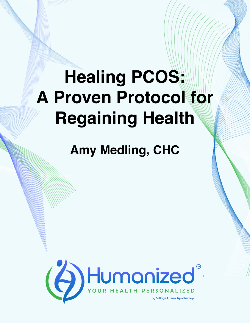## **Healing PCOS: A Proven Protocol for Regaining Health**

**Amy Medling, CHC**

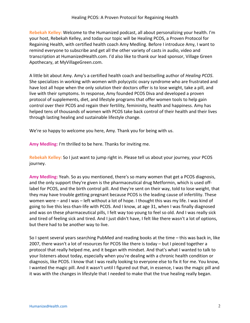**Rebekah Kelley:** Welcome to the Humanized podcast, all about personalizing your health. I'm your host, Rebekah Kelley, and today our topic will be Healing PCOS, a Proven Protocol for Regaining Health, with certified health coach Amy Medling. Before I introduce Amy, I want to remind everyone to subscribe and get all the other variety of casts in audio, video and transcription at HumanizedHealth.com. I'd also like to thank our lead sponsor, Village Green Apothecary, at MyVillageGreen.com.

A little bit about Amy. Amy's a certified health coach and bestselling author of *Healing PCOS*. She specializes in working with women with polycystic ovary syndrome who are frustrated and have lost all hope when the only solution their doctors offer is to lose weight, take a pill, and live with their symptoms. In response, Amy founded PCOS Diva and developed a proven protocol of supplements, diet, and lifestyle programs that offer women tools to help gain control over their PCOS and regain their fertility, femininity, health and happiness. Amy has helped tens of thousands of women with PCOS take back control of their health and their lives through lasting healing and sustainable lifestyle change.

We're so happy to welcome you here, Amy. Thank you for being with us.

**Amy Medling:** I'm thrilled to be here. Thanks for inviting me.

**Rebekah Kelley:** So I just want to jump right in. Please tell us about your journey, your PCOS journey.

**Amy Medling:** Yeah. So as you mentioned, there's so many women that get a PCOS diagnosis, and the only support they're given is the pharmaceutical drug Metformin, which is used offlabel for PCOS, and the birth control pill. And they're sent on their way, told to lose weight, that they may have trouble getting pregnant because PCOS is the leading cause of infertility. These women were – and I was – left without a lot of hope. I thought this was my life. I was kind of going to live this less-than-life with PCOS. And I know, at age 31, when I was finally diagnosed and was on these pharmaceutical pills, I felt way too young to feel so old. And I was really sick and tired of feeling sick and tired. And I just didn't have, I felt like there wasn't a lot of options, but there had to be another way to live.

So I spent several years searching PubMed and reading books at the time – this was back in, like 2007, there wasn't a lot of resources for PCOS like there is today – but I pieced together a protocol that really helped me, and it began with mindset. And that's what I wanted to talk to your listeners about today, especially when you're dealing with a chronic health condition or diagnosis, like PCOS. I know that I was really looking to everyone else to fix it for me. You know, I wanted the magic pill. And it wasn't until I figured out that, in essence, I was the magic pill and it was with the changes in lifestyle that I needed to make that the true healing really began.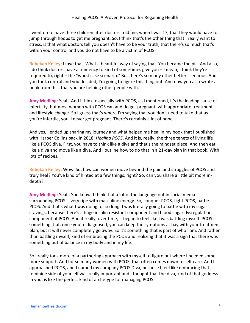I went on to have three children after doctors told me, when I was 17, that they would have to jump through hoops to get me pregnant. So, I think that's the other thing that I really want to stress, is that what doctors tell you doesn't have to be your truth, that there's so much that's within your control and you do not have to be a victim of PCOS.

**Rebekah Kelley:** I love that. What a beautiful way of saying that. You became the pill. And also, I do think doctors have a tendency to kind of sometimes give you – I mean, I think they're required to, right – the "worst case scenario." But there's so many other better scenarios. And you took control and you decided, I'm going to figure this thing out. And now you also wrote a book from this, that you are helping other people with.

**Amy Medling:** Yeah. And I think, especially with PCOS, as I mentioned, it's the leading cause of infertility, but most women with PCOS can and do get pregnant, with appropriate treatment and lifestyle change. So I guess that's where I'm saying that you don't need to take that as you're infertile, you'll never get pregnant. There's certainly a lot of hope.

And yes, I ended up sharing my journey and what helped me heal in my book that I published with Harper Collins back in 2018, *Healing PCOS*. And it is, really, the three tenets of living life like a PCOS diva. First, you have to think like a diva and that's the mindset piece. And then eat like a diva and move like a diva. And I outline how to do that in a 21-day plan in that book. With lots of recipes.

**Rebekah Kelley:** Wow. So, how can women move beyond the pain and struggles of PCOS and truly heal? You've kind of hinted at a few things, right? So, can you share a little bit more indepth?

**Amy Medling:** Yeah. You know, I think that a lot of the language out in social media surrounding PCOS is very ripe with masculine energy. So, conquer PCOS, fight PCOS, battle PCOS. And that's what I was doing for so long. I was literally going to battle with my sugar cravings, because there's a huge insulin resistant component and blood sugar dysregulation component of PCOS. And it really, over time, it began to feel like I was battling myself. PCOS is something that, once you're diagnosed, you can keep the symptoms at bay with your treatment plan, but it will never completely go away. So it's something that is part of who I am. And rather than battling myself, kind of embracing the PCOS and realizing that it was a sign that there was something out of balance in my body and in my life.

So I really took more of a partnering approach with myself to figure out where I needed some more support. And for so many women with PCOS, that often comes down to self-care. And I approached PCOS, and I named my company PCOS Diva, because I feel like embracing that feminine side of yourself was really important and I thought that the diva, kind of that goddess in you, is like the perfect kind of archetype for managing PCOS.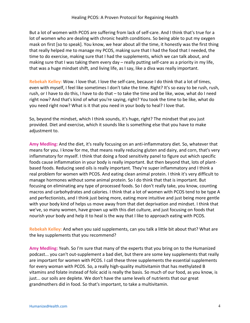But a lot of women with PCOS are suffering from lack of self-care. And I think that's true for a lot of women who are dealing with chronic health conditions. So being able to put my oxygen mask on first [so to speak]. You know, we hear about all the time, it honestly was the first thing that really helped me to manage my PCOS, making sure that I had the food that I needed, the time to do exercise, making sure that I had the supplements, which we can talk about, and making sure that I was taking them every day – really putting self-care as a priority in my life, that was a huge mindset shift, and living life, as I say, like a diva was really important.

**Rebekah Kelley:** Wow. I love that. I love the self-care, because I do think that a lot of times, even with myself, I feel like sometimes I don't take the time. Right? It's so easy to be rush, rush, rush, or I have to do this, I have to do that – to take the time and be like, wow, what do I need right now? And that's kind of what you're saying, right? You took the time to be like, what do you need right now? What is it that you need in your body to heal? I love that.

So, beyond the mindset, which I think sounds, it's huge, right? The mindset that you just provided. Diet and exercise, which it sounds like is something else that you have to make adjustment to.

**Amy Medling:** And the diet, it's really focusing on an anti-inflammatory diet. So, whatever that means for you. I know for me, that means really reducing gluten and dairy, and corn, that's very inflammatory for myself. I think that doing a food sensitivity panel to figure out which specific foods cause inflammation in your body is really important. But then beyond that, lots of plantbased foods. Reducing seed oils is really important. They're super inflammatory and I think a real problem for women with PCOS. And eating clean animal protein. I think it's very difficult to manage hormones without some animal protein. So I do think that that is important. But focusing on eliminating any type of processed foods. So I don't really take, you know, counting macros and carbohydrates and calories. I think that a lot of women with PCOS tend to be type A and perfectionists, and I think just being more, eating more intuitive and just being more gentle with your body kind of helps us move away from that diet deprivation and mindset. I think that we've, so many women, have grown up with this diet culture, and just focusing on foods that nourish your body and help it to heal is the way that I like to approach eating with PCOS.

**Rebekah Kelley:** And when you said supplements, can you talk a little bit about that? What are the key supplements that you recommend?

**Amy Medling:** Yeah. So I'm sure that many of the experts that you bring on to the Humanized podcast... you can't out-supplement a bad diet, but there are some key supplements that really are important for women with PCOS. I call these three supplements the essential supplements for every woman with PCOS. So, a really high-quality multivitamin that has methylated B vitamins and folate instead of folic acid is really the basis. So much of our food, as you know, is just... our soils are deplete. We don't have the same levels of nutrients that our great grandmothers did in food. So that's important, to take a multivitamin.